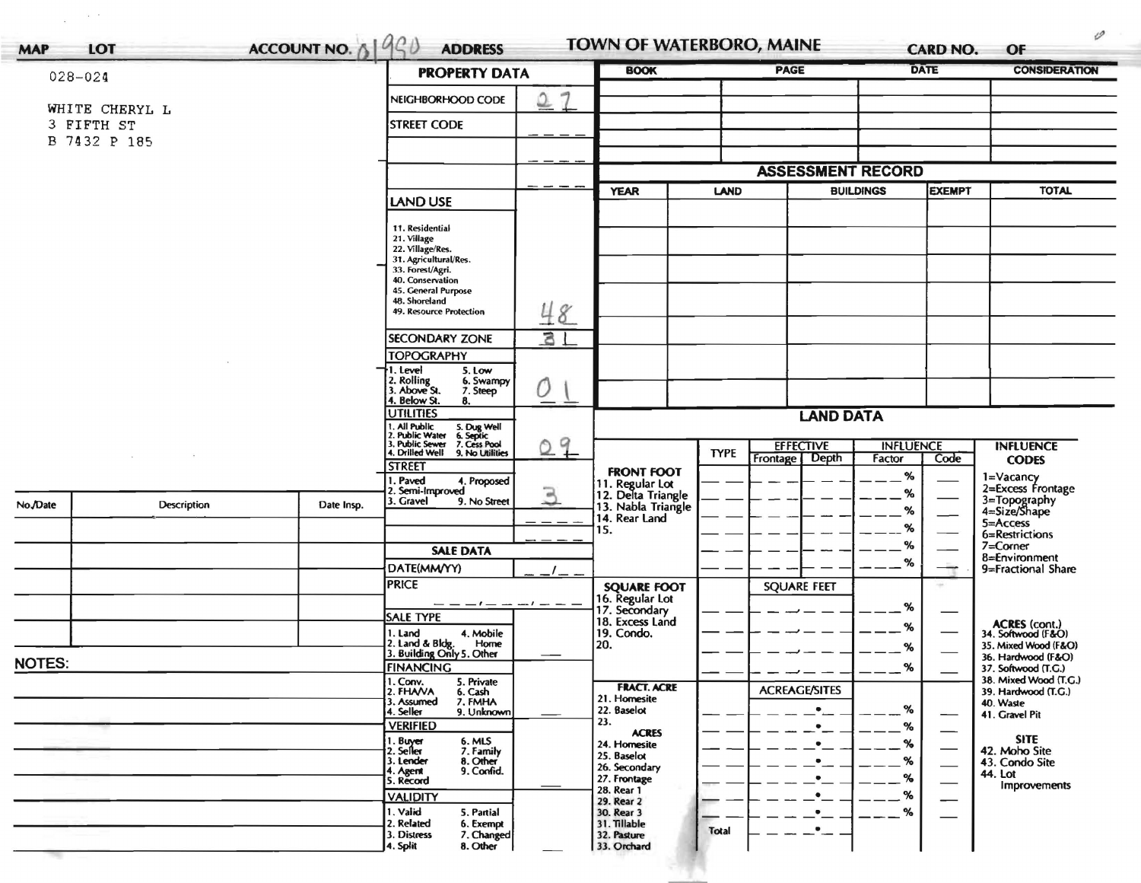| <b>MAP</b>                   | LOT          | ACCOUNT NO. $\frac{190}{90}$                                              | <b>ADDRESS</b>                                                                                                     |         | <b>TOWN OF WATERBORO, MAINE</b>                             |             |                          |                      | <b>CARD NO.</b>                           | OF                                                                                                                               |  |  |
|------------------------------|--------------|---------------------------------------------------------------------------|--------------------------------------------------------------------------------------------------------------------|---------|-------------------------------------------------------------|-------------|--------------------------|----------------------|-------------------------------------------|----------------------------------------------------------------------------------------------------------------------------------|--|--|
| $028 - 024$                  |              | <b>PROPERTY DATA</b>                                                      | <b>BOOK</b>                                                                                                        |         | <b>PAGE</b>                                                 |             | <b>DATE</b>              | <b>CONSIDERATION</b> |                                           |                                                                                                                                  |  |  |
|                              |              |                                                                           | NEIGHBORHOOD CODE                                                                                                  | -9      |                                                             |             |                          |                      |                                           |                                                                                                                                  |  |  |
| WHITE CHERYL L<br>3 FIFTH ST |              |                                                                           | <b>STREET CODE</b>                                                                                                 |         |                                                             |             |                          |                      |                                           |                                                                                                                                  |  |  |
|                              | B 7432 P 185 |                                                                           |                                                                                                                    |         |                                                             |             |                          |                      |                                           |                                                                                                                                  |  |  |
|                              |              |                                                                           |                                                                                                                    |         |                                                             |             | <b>ASSESSMENT RECORD</b> |                      |                                           |                                                                                                                                  |  |  |
|                              |              |                                                                           | <b>LAND USE</b>                                                                                                    |         | <b>YEAR</b>                                                 | <b>LAND</b> |                          | <b>BUILDINGS</b>     | <b>EXEMPT</b>                             | <b>TOTAL</b>                                                                                                                     |  |  |
|                              |              |                                                                           | 11. Residential                                                                                                    |         |                                                             |             |                          |                      |                                           |                                                                                                                                  |  |  |
|                              |              |                                                                           | 21. Village<br>22. Village/Res.                                                                                    |         |                                                             |             |                          |                      |                                           |                                                                                                                                  |  |  |
|                              |              |                                                                           | 31. Agricultural/Res.<br>33. Forest/Agri.                                                                          |         |                                                             |             |                          |                      |                                           |                                                                                                                                  |  |  |
|                              |              |                                                                           | 40. Conservation<br>45. General Purpose                                                                            |         |                                                             |             |                          |                      |                                           |                                                                                                                                  |  |  |
|                              |              |                                                                           | 48. Shoreland<br>49. Resource Protection                                                                           |         |                                                             |             |                          |                      |                                           |                                                                                                                                  |  |  |
|                              |              |                                                                           |                                                                                                                    | 48      |                                                             |             |                          |                      |                                           | <b>INFLUENCE</b><br><b>CODES</b><br>1=Vacancy<br>2=Excess Frontage<br>3=Topography<br>4=Size/Shape<br>5=Access<br>6=Restrictions |  |  |
|                              |              |                                                                           | <b>SECONDARY ZONE</b><br><b>TOPOGRAPHY</b>                                                                         | 31      |                                                             |             |                          |                      |                                           |                                                                                                                                  |  |  |
|                              |              |                                                                           | 1. Level<br>5. Low                                                                                                 |         |                                                             |             |                          |                      |                                           |                                                                                                                                  |  |  |
|                              |              | 2. Rolling<br>3. Above St.<br>6. Swampy<br>7. Steep<br>4. Below St.<br>8. | 0                                                                                                                  |         |                                                             |             |                          |                      |                                           |                                                                                                                                  |  |  |
|                              |              |                                                                           | <b>UTILITIES</b><br><b>LAND DATA</b>                                                                               |         |                                                             |             |                          |                      |                                           |                                                                                                                                  |  |  |
|                              |              |                                                                           | 1. All Public<br>2. Public Water<br>3. Public Sewer<br>4. Drilled Well<br>5. Dug Well<br>6. Septic<br>7. Cess Pool | 9<br>Õ. |                                                             |             | <b>EFFECTIVE</b>         | <b>INFLUENCE</b>     |                                           |                                                                                                                                  |  |  |
|                              |              |                                                                           | 9. No Utilities<br><b>STREET</b>                                                                                   |         |                                                             | <b>TYPE</b> | <b>Depth</b><br>Frontage | Factor               | Code                                      |                                                                                                                                  |  |  |
|                              |              |                                                                           | 1. Paved<br>4. Proposed<br>2. Semi-Improved                                                                        | 口       | <b>FRONT FOOT</b>                                           |             |                          | %                    |                                           |                                                                                                                                  |  |  |
| No./Date                     | Description  | Date Insp.                                                                | . Gravel<br>9. No Street                                                                                           | است     | 11. Regular Lot<br>12. Delta Triangle<br>13. Nabla Triangle |             |                          | %<br>%               |                                           |                                                                                                                                  |  |  |
|                              |              |                                                                           |                                                                                                                    |         | 14. Rear Land<br>15.                                        |             |                          | %                    |                                           |                                                                                                                                  |  |  |
|                              |              |                                                                           | <b>SALE DATA</b>                                                                                                   |         |                                                             |             |                          | %                    |                                           | 7=Corner                                                                                                                         |  |  |
|                              |              |                                                                           | DATE(MM/YY)                                                                                                        |         |                                                             |             |                          | $\%$                 |                                           | 8=Environment<br>9=Fractional Share                                                                                              |  |  |
|                              |              |                                                                           | <b>PRICE</b>                                                                                                       |         | <b>SQUARE FOOT</b>                                          |             | <b>SQUARE FEET</b>       |                      |                                           |                                                                                                                                  |  |  |
|                              |              |                                                                           | $- -$                                                                                                              |         | 16. Regular Lot<br>17. Secondary                            |             |                          | %                    |                                           |                                                                                                                                  |  |  |
|                              |              |                                                                           | <b>SALE TYPE</b><br>1. Land<br>4. Mobile                                                                           |         | 18. Excess Land<br>19. Condo.                               |             |                          | ℅                    |                                           | <b>ACRES</b> (cont.)<br>34. Softwood (F&O)                                                                                       |  |  |
|                              |              |                                                                           | 2. Land & Bldg.<br>Home<br>3. Building Only 5. Other                                                               |         | 20.                                                         |             |                          | $\alpha$             |                                           | 35. Mixed Wood (F&O)                                                                                                             |  |  |
| <b>NOTES:</b>                |              | <b>FINANCING</b>                                                          |                                                                                                                    |         |                                                             |             | %                        |                      | 36. Hardwood (F&O)<br>37. Softwood (T.G.) |                                                                                                                                  |  |  |
|                              |              |                                                                           | 5. Private<br>1. Conv.<br>2. FHAVA<br>6. Cash                                                                      |         | <b>FRACT. ACRE</b>                                          |             | <b>ACREAGE/SITES</b>     |                      |                                           | 38. Mixed Wood (T.G.)<br>39. Hardwood (T.G.)                                                                                     |  |  |
|                              |              |                                                                           | 3. Assumed<br>7. FMHA<br>4. Seller<br>9. Unknown                                                                   |         | 21. Homesite<br>22. Baselot                                 |             | $\bullet$                | %                    | —                                         | 40. Waste<br>41. Gravel Pit                                                                                                      |  |  |
|                              |              |                                                                           | <b>VERIFIED</b>                                                                                                    |         | 23.<br><b>ACRES</b>                                         |             |                          | %                    |                                           |                                                                                                                                  |  |  |
|                              |              |                                                                           | 1. Buyer<br>6. MLS<br>7. Family<br>2. Seller                                                                       |         | 24. Homesite                                                |             |                          | %                    |                                           | <b>SITE</b><br>42. Moho Site                                                                                                     |  |  |
|                              |              |                                                                           | 8. Other<br>3. Lender<br>9. Confid.<br>4. Agent                                                                    |         | 25. Baselot<br>26. Secondary                                |             |                          | %                    | $\overline{\phantom{0}}$                  | 43. Condo Site<br>44. Lot                                                                                                        |  |  |
|                              |              |                                                                           | 5. Record                                                                                                          |         | 27. Frontage<br>28. Rear 1                                  |             |                          | %<br>%               |                                           | Improvements                                                                                                                     |  |  |
|                              |              |                                                                           | <b>VALIDITY</b><br>1. Valid<br>5. Partial                                                                          |         | 29. Rear 2<br>30. Rear 3                                    |             |                          | %                    |                                           |                                                                                                                                  |  |  |
|                              |              |                                                                           | 2. Related<br>6. Exempt<br>3. Distress                                                                             |         | 31. Tillable<br>32. Pasture                                 | Total       |                          |                      |                                           |                                                                                                                                  |  |  |
|                              |              |                                                                           | 7. Changed<br>]4. Split<br>8. Other                                                                                |         | 33. Orchard                                                 |             |                          |                      |                                           |                                                                                                                                  |  |  |